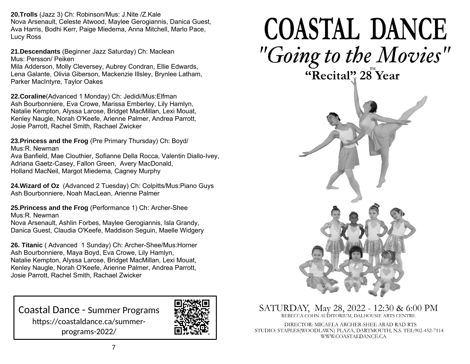**20.Trolls** (Jazz 3) Ch: Robinson/Mus: J.Nite /Z.Kale Nova Arsenault, Celeste Atwood, Maylee Gerogiannis, Danica Guest, Ava Harris, Bodhi Kerr, Paige Miedema, Anna Mitchell, Marlo Pace, Lucy Ross

**21.Descendants** (Beginner Jazz Saturday) Ch: Maclean Mus: Persson/ Peiken Mila Adderson, Molly Cleversey, Aubrey Condran, Ellie Edwards, Lena Galante, Olivia Giberson, Mackenzie Illsley, Brynlee Latham, Parker MacIntyre, Taylor Oakes

**22.Coraline**(Advanced 1 Monday) Ch: Jedidi/Mus:Elfman Ash Bourbonniere, Eva Crowe, Marissa Emberley, Lily Hamlyn, Natalie Kempton, Alyssa Larose, Bridget MacMillan, Lexi Mouat, Kenley Naugle, Norah O'Keefe, Arienne Palmer, Andrea Parrott, Josie Parrott, Rachel Smith, Rachael Zwicker

**23.Princess and the Frog** (Pre Primary Thursday) Ch: Boyd/ Mus:R. Newman

Ava Banfield, Mae Clouthier, Sofianne Della Rocca, Valentin Diallo-Ivey, Adriana Gaetz-Casey, Fallon Green, Avery MacDonald, Holland MacNeil, Margot Miedema, Cagney Murphy

**24.Wizard of Oz** (Advanced 2 Tuesday) Ch: Colpitts/Mus:Piano Guys Ash Bourbonniere, Noah MacLean, Arienne Palmer

**25.Princess and the Frog** (Performance 1) Ch: Archer-Shee Mus:R. Newman

Nova Arsenault, Ashlin Forbes, Maylee Gerogiannis, Isla Grandy, Danica Guest, Claudia O'Keefe, Maddison Seguin, Maelle Widgery

**26. Titanic** ( Advanced 1 Sunday) Ch: Archer-Shee/Mus:Horner Ash Bourbonniere, Maya Boyd, Eva Crowe, Lily Hamlyn, Natalie Kempton, Alyssa Larose, Bridget MacMillan, Lexi Mouat, Kenley Naugle, Norah O'Keefe, Arienne Palmer, Andrea Parrott, Josie Parrott, Rachel Smith, Rachael Zwicker

Coastal Dance - Summer Programs https://coastaldance.ca/summerprograms-2022/



## **COASTAL DANCE** "Going to the Movies" "Recital" 28 Year



SATURDAY, May 28, 2022 - 12:30 & 6:00 PM REBECCA COHN AUDITORIUM. DALHOUSIE ARTS CENTRE

DIRECTOR: MICAELA ARCHER-SHEE ARAD RAD RTS STUDIO: STAPLES(WOODLAWN) PLAZA, DARTMOUTH, N.S. TEL:902-452-7114 WWW.COASTALDANCE.CA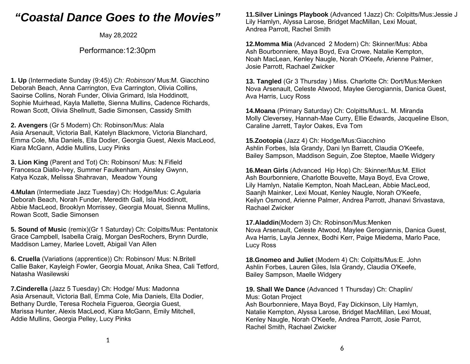## *"Coastal Dance Goes to the Movies"*

May 28,2022

## Performance:12:30pm

**1. Up** (Intermediate Sunday (9:45)) *Ch: Robinson/* Mus:M. Giacchino Deborah Beach, Anna Carrington, Eva Carrington, Olivia Collins, Saoirse Collins, Norah Funder, Olivia Grimard, Isla Hoddinott, Sophie Muirhead, Kayla Mallette, Sienna Mullins, Cadence Richards, Rowan Scott, Olivia Shellnutt, Sadie Simonsen, Cassidy Smith

**2. Avengers** (Gr 5 Modern) Ch: Robinson/Mus: Alala Asia Arsenault, Victoria Ball, Katelyn Blackmore, Victoria Blanchard, Emma Cole, Mia Daniels, Ella Dodier, Georgia Guest, Alexis MacLeod, Kiara McGann, Addie Mullins, Lucy Pinks

**3. Lion King** (Parent and Tot) Ch: Robinson/ Mus: N.Fifield Francesca Diallo-Ivey, Summer Faulkenham, Ainsley Gwynn, Katya Kozak, Melissa Shahravan, Meadow Young

**4.Mulan** (Intermediate Jazz Tuesday) Ch: Hodge/Mus: C.Agularia Deborah Beach, Norah Funder, Meredith Gall, Isla Hoddinott, Abbie MacLeod, Brooklyn Morrissey, Georgia Mouat, Sienna Mullins, Rowan Scott, Sadie Simonsen

**5. Sound of Music** (remix)(Gr 1 Saturday) Ch: Colpitts/Mus: Pentatonix Grace Campbell, Isabella Craig, Morgan DesRochers, Brynn Durdle, Maddison Lamey, Marlee Lovett, Abigail Van Allen

**6. Cruella** (Variations (apprentice)) Ch: Robinson/ Mus: N.Britell Callie Baker, Kayleigh Fowler, Georgia Mouat, Anika Shea, Cali Tetford, Natasha Wasilewski

**7.Cinderella** (Jazz 5 Tuesday) Ch: Hodge/ Mus: Madonna Asia Arsenault, Victoria Ball, Emma Cole, Mia Daniels, Ella Dodier, Bethany Durdle, Teresa Rochela Figueroa, Georgia Guest, Marissa Hunter, Alexis MacLeod, Kiara McGann, Emily Mitchell, Addie Mullins, Georgia Pelley, Lucy Pinks

**11.Silver Linings Playbook** (Advanced 1Jazz) Ch: Colpitts/Mus:Jessie J Lily Hamlyn, Alyssa Larose, Bridget MacMillan, Lexi Mouat, Andrea Parrott, Rachel Smith

**12.Momma Mia** (Advanced 2 Modern) Ch: Skinner/Mus: Abba Ash Bourbonniere, Maya Boyd, Eva Crowe, Natalie Kempton, Noah MacLean, Kenley Naugle, Norah O'Keefe, Arienne Palmer, Josie Parrott, Rachael Zwicker

**13. Tangled** (Gr 3 Thursday ) Miss. Charlotte Ch: Dort/Mus:Menken Nova Arsenault, Celeste Atwood, Maylee Gerogiannis, Danica Guest, Ava Harris, Lucy Ross

**14.Moana** (Primary Saturday) Ch: Colpitts/Mus:L. M. Miranda Molly Cleversey, Hannah-Mae Curry, Ellie Edwards, Jacqueline Elson, Caraline Jarrett, Taylor Oakes, Eva Tom

**15.Zootopia** (Jazz 4) Ch: Hodge/Mus:Giacchino Ashlin Forbes, Isla Grandy, Dani lyn Barrett, Claudia O'Keefe, Bailey Sampson, Maddison Seguin, Zoe Steptoe, Maelle Widgery

**16.Mean Girls** (Advanced Hip Hop) Ch: Skinner/Mus:M. Elliot Ash Bourbonniere, Charlotte Bouvette, Maya Boyd, Eva Crowe, Lily Hamlyn, Natalie Kempton, Noah MacLean, Abbie MacLeod, Saanjh Mainker, Lexi Mouat, Kenley Naugle, Norah O'Keefe, Keilyn Osmond, Arienne Palmer, Andrea Parrott, Jhanavi Srivastava, Rachael Zwicker

**17.Aladdin**(Modern 3) Ch: Robinson/Mus:Menken Nova Arsenault, Celeste Atwood, Maylee Gerogiannis, Danica Guest, Ava Harris, Layla Jennex, Bodhi Kerr, Paige Miedema, Marlo Pace, Lucy Ross

**18.Gnomeo and Juliet** (Modern 4) Ch: Colpitts/Mus:E. John Ashlin Forbes, Lauren Giles, Isla Grandy, Claudia O'Keefe, Bailey Sampson, Maelle Widgery

**19. Shall We Dance** (Advanced 1 Thursday) Ch: Chaplin/ Mus: Gotan Project Ash Bourbonniere, Maya Boyd, Fay Dickinson, Lily Hamlyn, Natalie Kempton, Alyssa Larose, Bridget MacMillan, Lexi Mouat, Kenley Naugle, Norah O'Keefe, Andrea Parrott, Josie Parrot, Rachel Smith, Rachael Zwicker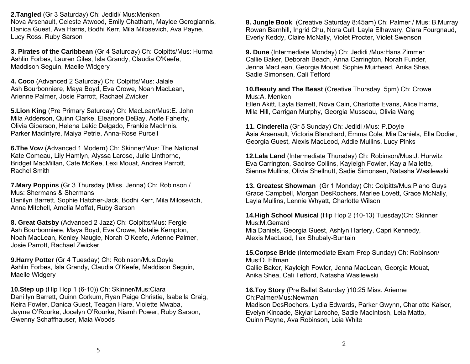**2.Tangled** (Gr 3 Saturday) Ch: Jedidi/ Mus:Menken Nova Arsenault, Celeste Atwood, Emily Chatham, Maylee Gerogiannis, Danica Guest, Ava Harris, Bodhi Kerr, Mila Milosevich, Ava Payne, Lucy Ross, Ruby Sarson

**3. Pirates of the Caribbean** (Gr 4 Saturday) Ch: Colpitts/Mus: Hurma Ashlin Forbes, Lauren Giles, Isla Grandy, Claudia O'Keefe, Maddison Seguin, Maelle Widgery

**4. Coco** (Advanced 2 Saturday) Ch: Colpitts/Mus: Jalale Ash Bourbonniere, Maya Boyd, Eva Crowe, Noah MacLean, Arienne Palmer, Josie Parrott, Rachael Zwicker

**5.Lion King** (Pre Primary Saturday) Ch: MacLean/Mus:E. John Mila Adderson, Quinn Clarke, Eleanore DeBay, Aoife Faherty, Olivia Giberson, Helena Lekic Delgado, Frankie MacInnis, Parker MacIntyre, Maiya Petrie, Anna-Rose Purcell

**6.The Vow** (Advanced 1 Modern) Ch: Skinner/Mus: The National Kate Comeau, Lily Hamlyn, Alyssa Larose, Julie Linthorne, Bridget MacMillan, Cate McKee, Lexi Mouat, Andrea Parrott, Rachel Smith

**7.Mary Poppins** (Gr 3 Thursday (Miss. Jenna) Ch: Robinson / Mus: Shermans & Shermans Danilyn Barrett, Sophie Hatcher-Jack, Bodhi Kerr, Mila Milosevich, Anna Mitchell, Amelia Moffat, Ruby Sarson

**8. Great Gatsby** (Advanced 2 Jazz) Ch: Colpitts/Mus: Fergie Ash Bourbonniere, Maya Boyd, Eva Crowe, Natalie Kempton, Noah MacLean, Kenley Naugle, Norah O'Keefe, Arienne Palmer, Josie Parrott, Rachael Zwicker

**9.Harry Potter** (Gr 4 Tuesday) Ch: Robinson/Mus:Doyle Ashlin Forbes, Isla Grandy, Claudia O'Keefe, Maddison Seguin, Maelle Widgery

**10.Step up** (Hip Hop 1 (6-10)) Ch: Skinner/Mus:Ciara Dani lyn Barrett, Quinn Corkum, Ryan Paige Christie, Isabella Craig, Keira Fowler, Danica Guest, Teagan Hare, Violette Mwaba, Jayme O'Rourke, Jocelyn O'Rourke, Niamh Power, Ruby Sarson, Gwenny Schaffhauser, Maia Woods

**8. Jungle Book** (Creative Saturday 8:45am) Ch: Palmer / Mus: B.Murray Rowan Barnhill, Ingrid Chu, Nora Cull, Layla Elhawary, Clara Fourgnaud, Everly Keddy, Claire McNally, Violet Procter, Violet Swenson

**9. Dune** (Intermediate Monday) Ch: Jedidi /Mus:Hans Zimmer Callie Baker, Deborah Beach, Anna Carrington, Norah Funder, Jenna MacLean, Georgia Mouat, Sophie Muirhead, Anika Shea, Sadie Simonsen, Cali Tetford

**10.Beauty and The Beast** (Creative Thursday 5pm) Ch: Crowe Mus:A. Menken

Ellen Akitt, Layla Barrett, Nova Cain, Charlotte Evans, Alice Harris, Mila Hill, Carrigan Murphy, Georgia Musseau, Olivia Wang

**11. Cinderella** (Gr 5 Sunday) Ch: Jedidi /Mus: P.Doyle Asia Arsenault, Victoria Blanchard, Emma Cole, Mia Daniels, Ella Dodier, Georgia Guest, Alexis MacLeod, Addie Mullins, Lucy Pinks

**12.Lala Land** (Intermediate Thursday) Ch: Robinson/Mus:J. Hurwitz Eva Carrington, Saoirse Collins, Kayleigh Fowler, Kayla Mallette, Sienna Mullins, Olivia Shellnutt, Sadie Simonsen, Natasha Wasilewski

**13. Greatest Showman** (Gr 1 Monday) Ch: Colpitts/Mus:Piano Guys Grace Campbell, Morgan DesRochers, Marlee Lovett, Grace McNally, Layla Mullins, Lennie Whyatt, Charlotte Wilson

**14.High School Musical** (Hip Hop 2 (10-13) Tuesday)Ch: Skinner Mus:M.Gerrard Mia Daniels, Georgia Guest, Ashlyn Hartery, Capri Kennedy, Alexis MacLeod, Ilex Shubaly-Buntain

**15.Corpse Bride** (Intermediate Exam Prep Sunday) Ch: Robinson/ Mus:D. Elfman Callie Baker, Kayleigh Fowler, Jenna MacLean, Georgia Mouat, Anika Shea, Cali Tetford, Natasha Wasilewski

**16.Toy Story** (Pre Ballet Saturday )10:25 Miss. Arienne Ch:Palmer/Mus:Newman Madison DesRochers, Lydia Edwards, Parker Gwynn, Charlotte Kaiser, Evelyn Kincade, Skylar Laroche, Sadie MacIntosh, Leia Matto, Quinn Payne, Ava Robinson, Leia White